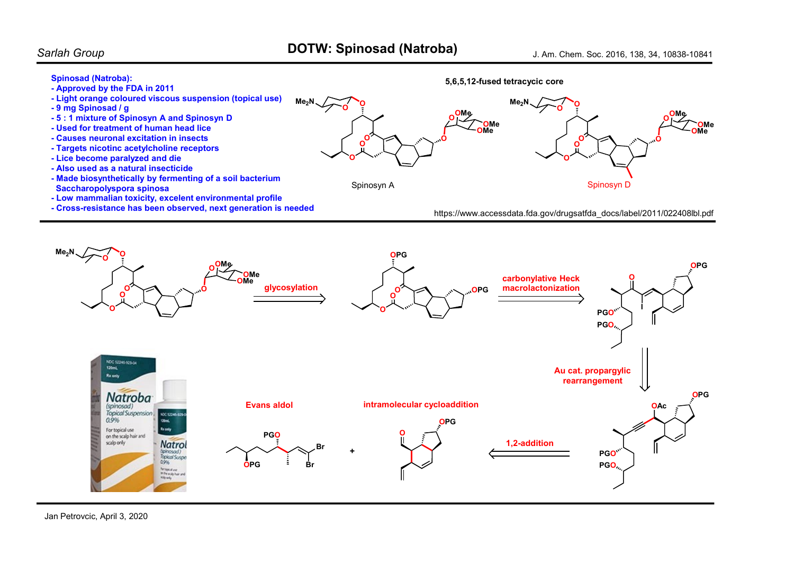## Spinosad (Natroba):

- Approved by the FDA in 2011
- Light orange coloured viscous suspension (topical use)
- 9 mg Spinosad / g
- 5 : 1 mixture of Spinosyn A and Spinosyn D
- Used for treatment of human head lice
- Causes neuronal excitation in insects
- Targets nicotinc acetylcholine receptors
- Lice become paralyzed and die
- Also used as a natural insecticide
- Made biosynthetically by fermenting of a soil bacterium Saccharopolyspora spinosa
- Low mammalian toxicity, excelent environmental profile
- Cross-resistance has been observed, next generation is needed



## https://www.accessdata.fda.gov/drugsatfda\_docs/label/2011/022408lbl.pdf



Jan Petrovcic, April 3, 2020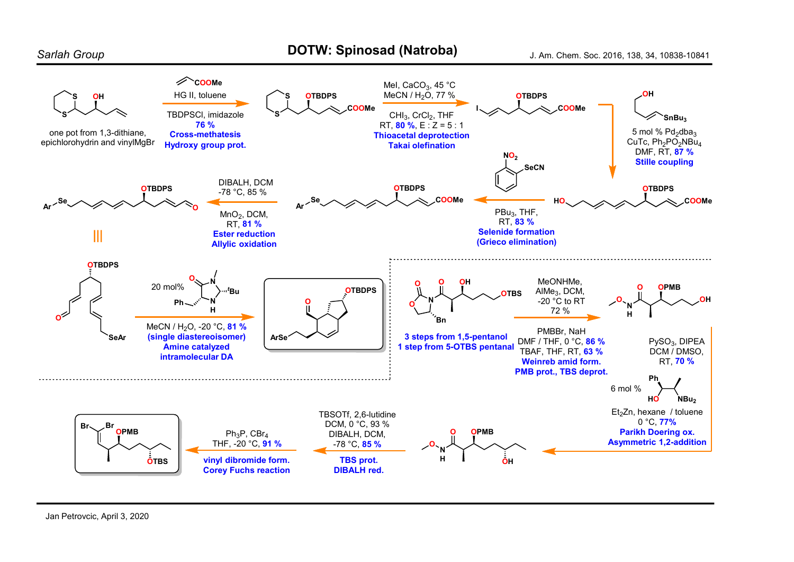